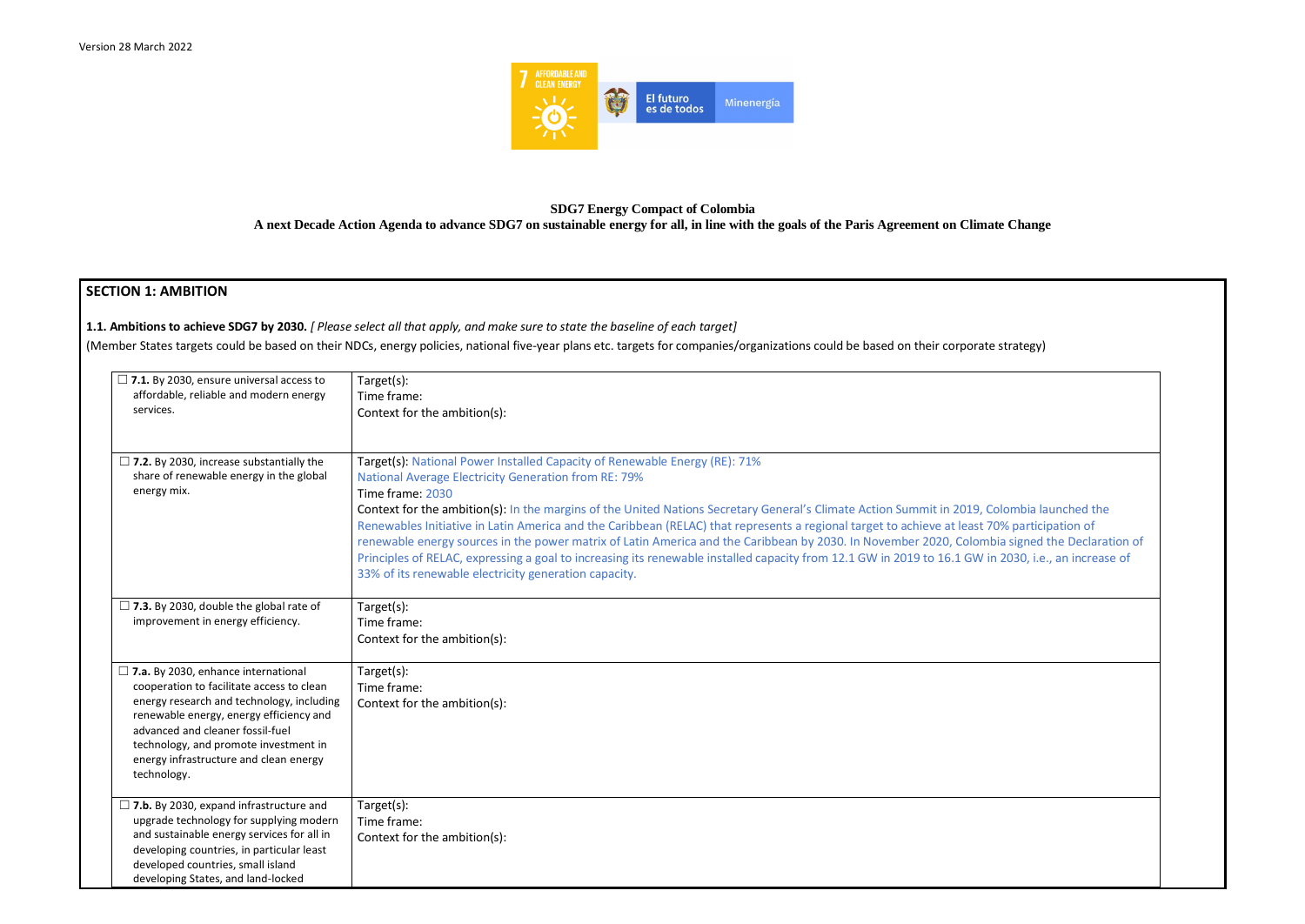

# **SDG7 Energy Compact of Colombia**

**A next Decade Action Agenda to advance SDG7 on sustainable energy for all, in line with the goals of the Paris Agreement on Climate Change**

# **SECTION 1: AMBITION**

**1.1. Ambitions to achieve SDG7 by 2030.** *[ Please select all that apply, and make sure to state the baseline of each target]* 

(Member States targets could be based on their NDCs, energy policies, national five-year plans etc. targets for companies/organizations could be based on their corporate strategy)

| $\Box$ 7.1. By 2030, ensure universal access to<br>affordable, reliable and modern energy<br>services.                                                                                                                                                                                                                | Target(s):<br>Time frame:<br>Context for the ambition(s):                                                                                                                                                                                                                                                                                                                                                                                                                                                                                                                                                                                                                                                             |
|-----------------------------------------------------------------------------------------------------------------------------------------------------------------------------------------------------------------------------------------------------------------------------------------------------------------------|-----------------------------------------------------------------------------------------------------------------------------------------------------------------------------------------------------------------------------------------------------------------------------------------------------------------------------------------------------------------------------------------------------------------------------------------------------------------------------------------------------------------------------------------------------------------------------------------------------------------------------------------------------------------------------------------------------------------------|
| $\Box$ 7.2. By 2030, increase substantially the<br>share of renewable energy in the global<br>energy mix.                                                                                                                                                                                                             | Target(s): National Power Installed Capacity of Renewable Energy (RE): 71%<br><b>National Average Electricity Generation from RE: 79%</b><br>Time frame: 2030<br>Context for the ambition(s): In the margins of the United Nations Secretary General's Climate Action Summit in 2019,<br>Renewables Initiative in Latin America and the Caribbean (RELAC) that represents a regional target to achieve at least<br>renewable energy sources in the power matrix of Latin America and the Caribbean by 2030. In November 2020, Colom<br>Principles of RELAC, expressing a goal to increasing its renewable installed capacity from 12.1 GW in 2019 to 16.1 GW<br>33% of its renewable electricity generation capacity. |
| $\Box$ 7.3. By 2030, double the global rate of<br>improvement in energy efficiency.                                                                                                                                                                                                                                   | Target(s):<br>Time frame:<br>Context for the ambition(s):                                                                                                                                                                                                                                                                                                                                                                                                                                                                                                                                                                                                                                                             |
| $\Box$ 7.a. By 2030, enhance international<br>cooperation to facilitate access to clean<br>energy research and technology, including<br>renewable energy, energy efficiency and<br>advanced and cleaner fossil-fuel<br>technology, and promote investment in<br>energy infrastructure and clean energy<br>technology. | Target(s):<br>Time frame:<br>Context for the ambition(s):                                                                                                                                                                                                                                                                                                                                                                                                                                                                                                                                                                                                                                                             |
| $\Box$ 7.b. By 2030, expand infrastructure and<br>upgrade technology for supplying modern<br>and sustainable energy services for all in<br>developing countries, in particular least<br>developed countries, small island<br>developing States, and land-locked                                                       | Target(s):<br>Time frame:<br>Context for the ambition(s):                                                                                                                                                                                                                                                                                                                                                                                                                                                                                                                                                                                                                                                             |

Colombia launched the 70% participation of nbia signed the Declaration of in 2030, i.e., an increase of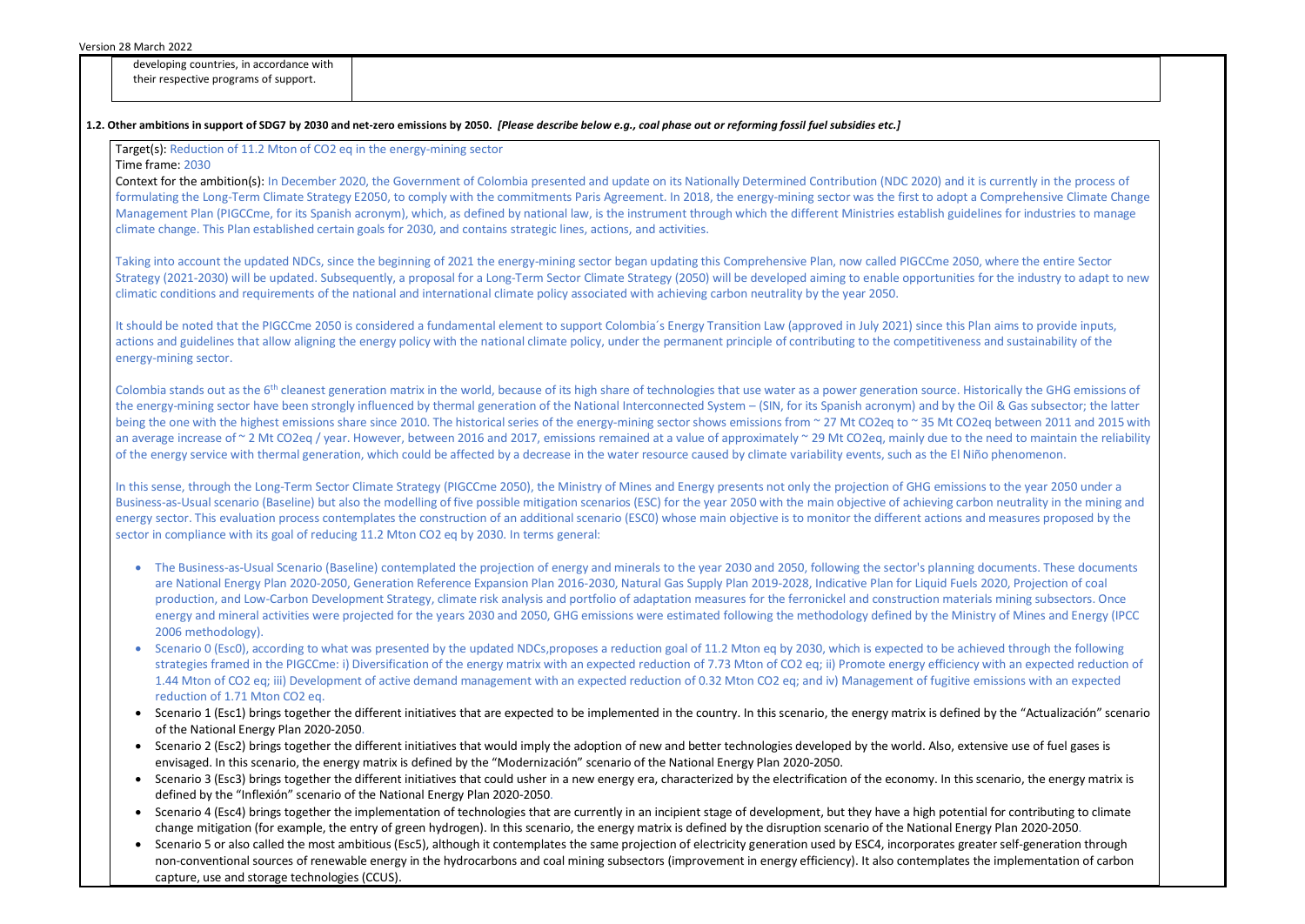| developing countries, in accordance with |
|------------------------------------------|
| their respective programs of support.    |

| Target(s): Reduction of 11.2 Mton of CO2 eq in the energy-mining sector |                                                                                                                                                                                                                                                                                                                                                                                                                                                                                                                                                                                                                                                                                                                                         |
|-------------------------------------------------------------------------|-----------------------------------------------------------------------------------------------------------------------------------------------------------------------------------------------------------------------------------------------------------------------------------------------------------------------------------------------------------------------------------------------------------------------------------------------------------------------------------------------------------------------------------------------------------------------------------------------------------------------------------------------------------------------------------------------------------------------------------------|
| Time frame: 2030                                                        |                                                                                                                                                                                                                                                                                                                                                                                                                                                                                                                                                                                                                                                                                                                                         |
|                                                                         | Context for the ambition(s): In December 2020, the Government of Colombia presented and update on its Nationally Determined Contribution (NDC 2020) and it is currently in the process                                                                                                                                                                                                                                                                                                                                                                                                                                                                                                                                                  |
|                                                                         | formulating the Long-Term Climate Strategy E2050, to comply with the commitments Paris Agreement. In 2018, the energy-mining sector was the first to adopt a Comprehensive Climate (<br>Management Plan (PIGCCme, for its Spanish acronym), which, as defined by national law, is the instrument through which the different Ministries establish guidelines for industries to mar                                                                                                                                                                                                                                                                                                                                                      |
|                                                                         | climate change. This Plan established certain goals for 2030, and contains strategic lines, actions, and activities.                                                                                                                                                                                                                                                                                                                                                                                                                                                                                                                                                                                                                    |
|                                                                         | Taking into account the updated NDCs, since the beginning of 2021 the energy-mining sector began updating this Comprehensive Plan, now called PIGCCme 2050, where the entire Sector                                                                                                                                                                                                                                                                                                                                                                                                                                                                                                                                                     |
|                                                                         | Strategy (2021-2030) will be updated. Subsequently, a proposal for a Long-Term Sector Climate Strategy (2050) will be developed aiming to enable opportunities for the industry to adapt<br>climatic conditions and requirements of the national and international climate policy associated with achieving carbon neutrality by the year 2050.                                                                                                                                                                                                                                                                                                                                                                                         |
| energy-mining sector.                                                   | It should be noted that the PIGCCme 2050 is considered a fundamental element to support Colombia's Energy Transition Law (approved in July 2021) since this Plan aims to provide inputs<br>actions and guidelines that allow aligning the energy policy with the national climate policy, under the permanent principle of contributing to the competitiveness and sustainability of the                                                                                                                                                                                                                                                                                                                                                |
|                                                                         | Colombia stands out as the 6 <sup>th</sup> cleanest generation matrix in the world, because of its high share of technologies that use water as a power generation source. Historically the GHG emissio<br>the energy-mining sector have been strongly influenced by thermal generation of the National Interconnected System - (SIN, for its Spanish acronym) and by the Oil & Gas subsector; the I<br>being the one with the highest emissions share since 2010. The historical series of the energy-mining sector shows emissions from ~ 27 Mt CO2eq to ~ 35 Mt CO2eq between 2011 and 20:                                                                                                                                           |
|                                                                         | an average increase of ~ 2 Mt CO2eq / year. However, between 2016 and 2017, emissions remained at a value of approximately ~ 29 Mt CO2eq, mainly due to the need to maintain the re<br>of the energy service with thermal generation, which could be affected by a decrease in the water resource caused by climate variability events, such as the El Niño phenomenon.                                                                                                                                                                                                                                                                                                                                                                 |
|                                                                         | In this sense, through the Long-Term Sector Climate Strategy (PIGCCme 2050), the Ministry of Mines and Energy presents not only the projection of GHG emissions to the year 2050 under<br>Business-as-Usual scenario (Baseline) but also the modelling of five possible mitigation scenarios (ESC) for the year 2050 with the main objective of achieving carbon neutrality in the minir<br>energy sector. This evaluation process contemplates the construction of an additional scenario (ESCO) whose main objective is to monitor the different actions and measures proposed by<br>sector in compliance with its goal of reducing 11.2 Mton CO2 eq by 2030. In terms general:                                                       |
| 2006 methodology).                                                      | The Business-as-Usual Scenario (Baseline) contemplated the projection of energy and minerals to the year 2030 and 2050, following the sector's planning documents. These docum<br>are National Energy Plan 2020-2050, Generation Reference Expansion Plan 2016-2030, Natural Gas Supply Plan 2019-2028, Indicative Plan for Liquid Fuels 2020, Projection of coal<br>production, and Low-Carbon Development Strategy, climate risk analysis and portfolio of adaptation measures for the ferronickel and construction materials mining subsectors. On<br>energy and mineral activities were projected for the years 2030 and 2050, GHG emissions were estimated following the methodology defined by the Ministry of Mines and Energy ( |
| reduction of 1.71 Mton CO2 eq.                                          | Scenario 0 (Esc0), according to what was presented by the updated NDCs, proposes a reduction goal of 11.2 Mton eq by 2030, which is expected to be achieved through the followire<br>strategies framed in the PIGCCme: i) Diversification of the energy matrix with an expected reduction of 7.73 Mton of CO2 eq; ii) Promote energy efficiency with an expected reduct<br>1.44 Mton of CO2 eq; iii) Development of active demand management with an expected reduction of 0.32 Mton CO2 eq; and iv) Management of fugitive emissions with an expecte                                                                                                                                                                                   |
| of the National Energy Plan 2020-2050.                                  | Scenario 1 (Esc1) brings together the different initiatives that are expected to be implemented in the country. In this scenario, the energy matrix is defined by the "Actualización" so                                                                                                                                                                                                                                                                                                                                                                                                                                                                                                                                                |
|                                                                         | Scenario 2 (Esc2) brings together the different initiatives that would imply the adoption of new and better technologies developed by the world. Also, extensive use of fuel gases is<br>envisaged. In this scenario, the energy matrix is defined by the "Modernización" scenario of the National Energy Plan 2020-2050.                                                                                                                                                                                                                                                                                                                                                                                                               |
|                                                                         | Scenario 3 (Esc3) brings together the different initiatives that could usher in a new energy era, characterized by the electrification of the economy. In this scenario, the energy matr<br>defined by the "Inflexión" scenario of the National Energy Plan 2020-2050.                                                                                                                                                                                                                                                                                                                                                                                                                                                                  |
|                                                                         | Scenario 4 (Esc4) brings together the implementation of technologies that are currently in an incipient stage of development, but they have a high potential for contributing to clim<br>change mitigation (for example, the entry of green hydrogen). In this scenario, the energy matrix is defined by the disruption scenario of the National Energy Plan 2020-2050.                                                                                                                                                                                                                                                                                                                                                                 |

• Scenario 5 or also called the most ambitious (Esc5), although it contemplates the same projection of electricity generation used by ESC4, incorporates greater self-generation through non-conventional sources of renewable energy in the hydrocarbons and coal mining subsectors (improvement in energy efficiency). It also contemplates the implementation of carbon capture, use and storage technologies (CCUS).

currently in the process of **Eomprehensive Climate Change** nes for industries to manage or the industry to adapt to new aims to provide inputs, and sustainability of the orically the GHG emissions of il & Gas subsector; the latter between 2011 and 2015 with need to maintain the reliability to the year 2050 under a n neutrality in the mining and measures proposed by the ocuments. These documents **020, Projection of coal** production Development Strategy strategy strategy strategy and portfolio strategy ry of Mines and Energy (IPCC ed through the following vith an expected reduction of nissions with an expected by the "Actualización" scenario sive use of fuel gases is enario, the energy matrix is for contributing to climate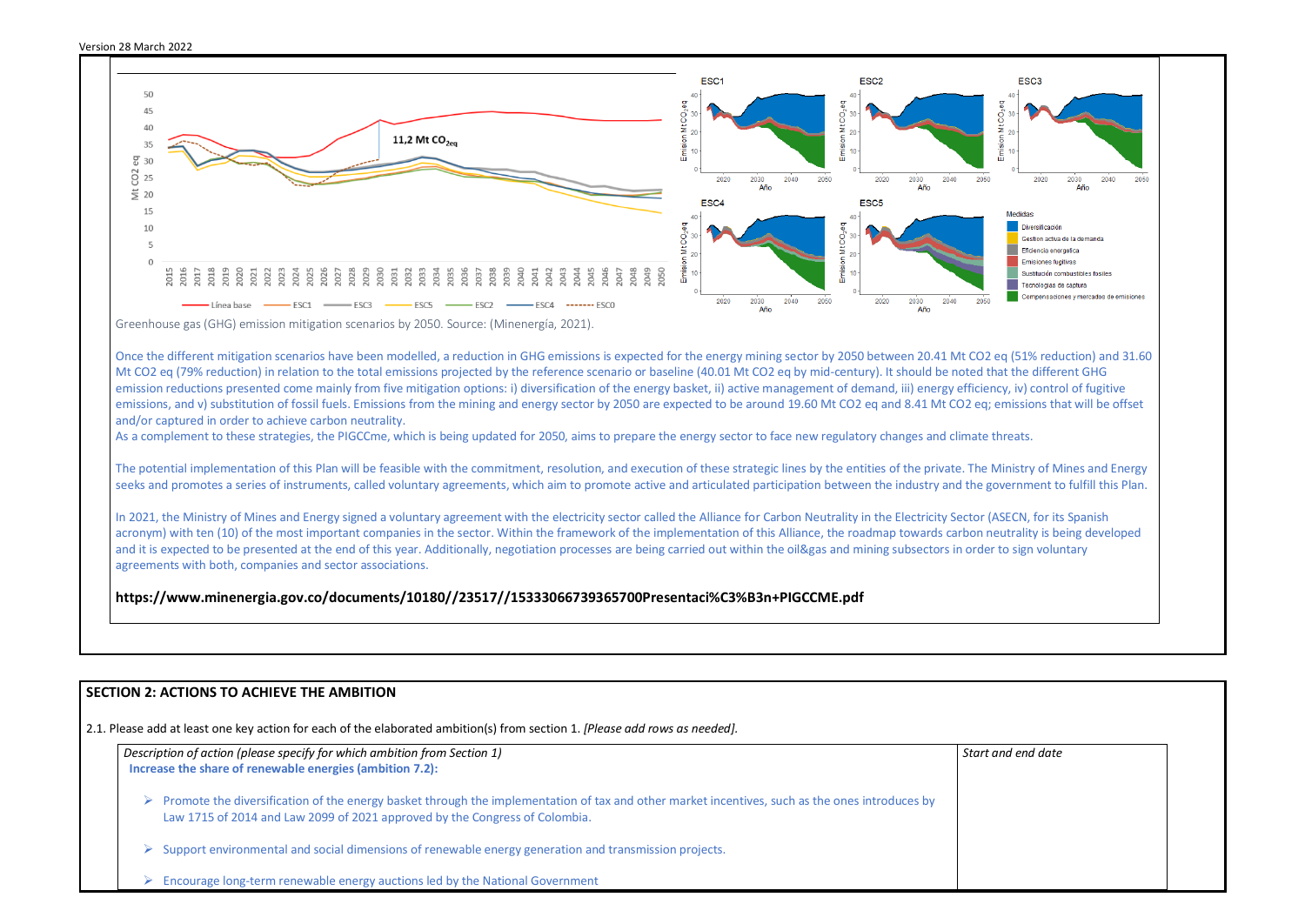

Once the different mitigation scenarios have been modelled, a reduction in GHG emissions is expected for the energy mining sector by 2050 between 20.41 Mt CO2 eq (51% reduction) and 31.60 Mt CO2 eq (79% reduction) in relation to the total emissions projected by the reference scenario or baseline (40.01 Mt CO2 eq by mid-century). It should be noted that the different GHG emission reductions presented come mainly from five mitigation options: i) diversification of the energy basket, ii) active management of demand, iii) energy efficiency, iv) control of fugitive emissions, and v) substitution of fossil fuels. Emissions from the mining and energy sector by 2050 are expected to be around 19.60 Mt CO2 eq and 8.41 Mt CO2 eq; emissions that will be offset and/or captured in order to achieve carbon neutrality.

As a complement to these strategies, the PIGCCme, which is being updated for 2050, aims to prepare the energy sector to face new regulatory changes and climate threats.

The potential implementation of this Plan will be feasible with the commitment, resolution, and execution of these strategic lines by the entities of the private. The Ministry of Mines and Energy seeks and promotes a series of instruments, called voluntary agreements, which aim to promote active and articulated participation between the industry and the government to fulfill this Plan.

In 2021, the Ministry of Mines and Energy signed a voluntary agreement with the electricity sector called the Alliance for Carbon Neutrality in the Electricity Sector (ASECN, for its Spanish acronym) with ten (10) of the most important companies in the sector. Within the framework of the implementation of this Alliance, the roadmap towards carbon neutrality is being developed and it is expected to be presented at the end of this year. Additionally, negotiation processes are being carried out within the oil&gas and mining subsectors in order to sign voluntary agreements with both, companies and sector associations.

|   | Description of action (please specify for which ambition from Section 1)<br>Increase the share of renewable energies (ambition 7.2):                                                                                                           | Start |
|---|------------------------------------------------------------------------------------------------------------------------------------------------------------------------------------------------------------------------------------------------|-------|
|   |                                                                                                                                                                                                                                                |       |
|   | $\triangleright$ Promote the diversification of the energy basket through the implementation of tax and other market incentives, such as the ones introduces by<br>Law 1715 of 2014 and Law 2099 of 2021 approved by the Congress of Colombia. |       |
| ➤ | Support environmental and social dimensions of renewable energy generation and transmission projects.                                                                                                                                          |       |
|   | Encourage long-term renewable energy auctions led by the National Government                                                                                                                                                                   |       |



**https://www.minenergia.gov.co/documents/10180//23517//15333066739365700Presentaci%C3%B3n+PIGCCME.pdf**

# **SECTION 2: ACTIONS TO ACHIEVE THE AMBITION**

2.1. Please add at least one key action for each of the elaborated ambition(s) from section 1. *[Please add rows as needed].*

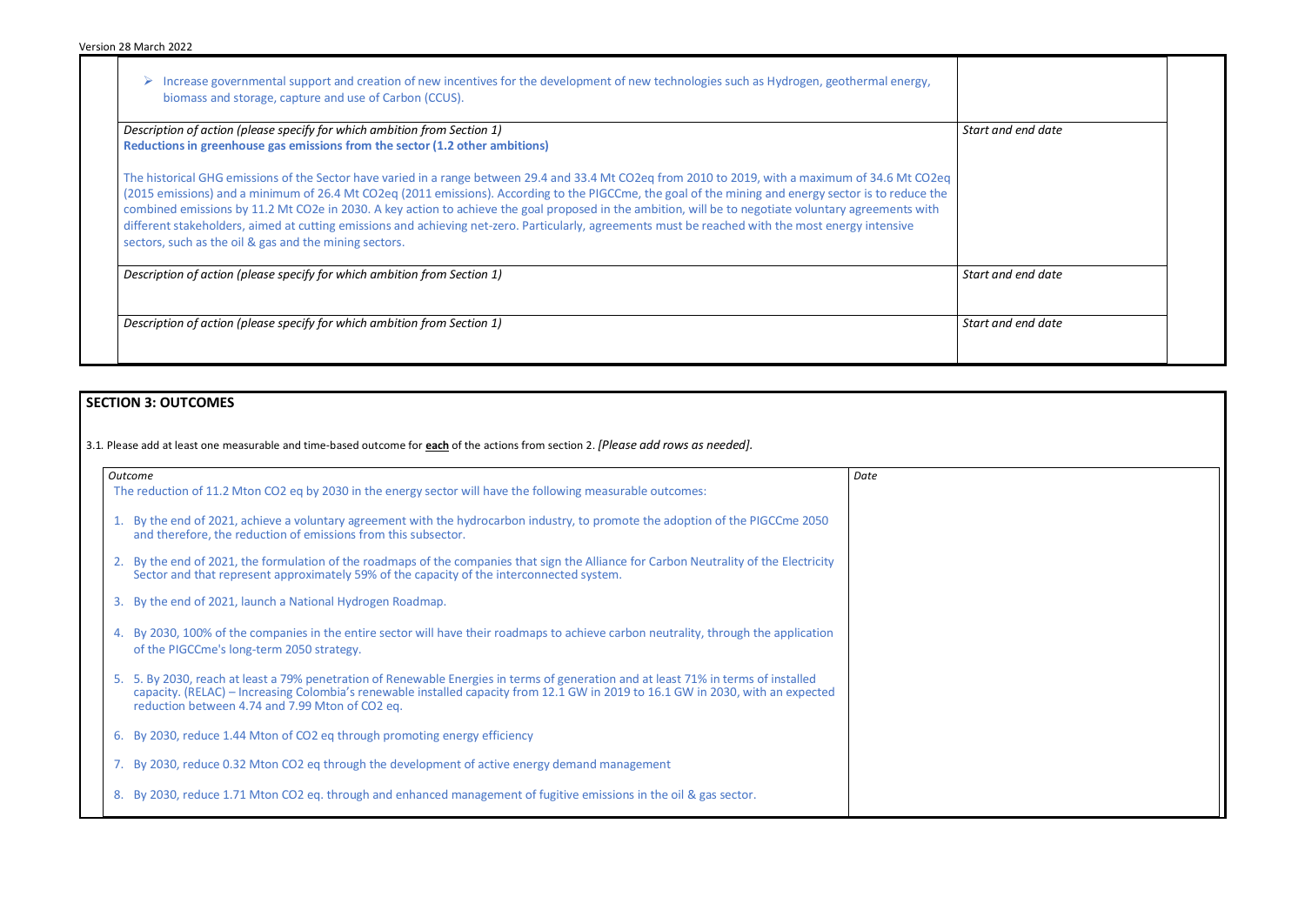➢ Increase governmental support and creation of new incentives for the development of new technologies such as Hydrogen, geothermal energy, biomass and storage, capture and use of Carbon (CCUS).

*Description of action (please specify for which ambition from Section 1)* **Reductions in greenhouse gas emissions from the sector (1.2 other ambitions)**

The historical GHG emissions of the Sector have varied in a range between 29.4 and 33.4 Mt CO2eq from 2010 to 2019, with a maximum of 34.6 Mt CO2eq (2015 emissions) and a minimum of 26.4 Mt CO2eq (2011 emissions). According to the PIGCCme, the goal of the mining and energy sector is to reduce the combined emissions by 11.2 Mt CO2e in 2030. A key action to achieve the goal proposed in the ambition, will be to negotiate voluntary agreements with different stakeholders, aimed at cutting emissions and achieving net-zero. Particularly, agreements must be reached with the most energy intensive sectors, such as the oil & gas and the mining sectors.

*Description of action (please specify for which ambition from Section 1)* **Start and data and data and data and data and data and data and data and data and data and data and data and data and data and data and data and d** 

*Description of action (please specify for which ambition from Section 1)* **Start and data and data and data and data and data and data and data and data and data and data and data and data and data and data and data and d** 

| Start and end date |  |
|--------------------|--|
| Start and end date |  |
| Start and end date |  |

# **SECTION 3: OUTCOMES**

3.1*.* Please add at least one measurable and time-based outcome for **each** of the actions from section 2. *[Please add rows as needed].*

|    | <b>Outcome</b>                                                                                                                                                                                                                                                                                                             | Date |
|----|----------------------------------------------------------------------------------------------------------------------------------------------------------------------------------------------------------------------------------------------------------------------------------------------------------------------------|------|
|    | The reduction of 11.2 Mton CO2 eq by 2030 in the energy sector will have the following measurable outcomes:                                                                                                                                                                                                                |      |
|    | 1. By the end of 2021, achieve a voluntary agreement with the hydrocarbon industry, to promote the adoption of the PIGCCme 2050<br>and therefore, the reduction of emissions from this subsector.                                                                                                                          |      |
|    | 2. By the end of 2021, the formulation of the roadmaps of the companies that sign the Alliance for Carbon Neutrality of the Electricity<br>Sector and that represent approximately 59% of the capacity of the interconnected system.                                                                                       |      |
|    | 3. By the end of 2021, launch a National Hydrogen Roadmap.                                                                                                                                                                                                                                                                 |      |
| 4. | By 2030, 100% of the companies in the entire sector will have their roadmaps to achieve carbon neutrality, through the application<br>of the PIGCCme's long-term 2050 strategy.                                                                                                                                            |      |
|    | 5. 5. By 2030, reach at least a 79% penetration of Renewable Energies in terms of generation and at least 71% in terms of installed<br>capacity. (RELAC) – Increasing Colombia's renewable installed capacity from 12.1 GW in 2019 to 16.1 GW in 2030, with an expected<br>reduction between 4.74 and 7.99 Mton of CO2 eq. |      |
|    | 6. By 2030, reduce 1.44 Mton of CO2 eq through promoting energy efficiency                                                                                                                                                                                                                                                 |      |
|    | 7. By 2030, reduce 0.32 Mton CO2 eq through the development of active energy demand management                                                                                                                                                                                                                             |      |
| 8. | By 2030, reduce 1.71 Mton CO2 eq. through and enhanced management of fugitive emissions in the oil & gas sector.                                                                                                                                                                                                           |      |
|    |                                                                                                                                                                                                                                                                                                                            |      |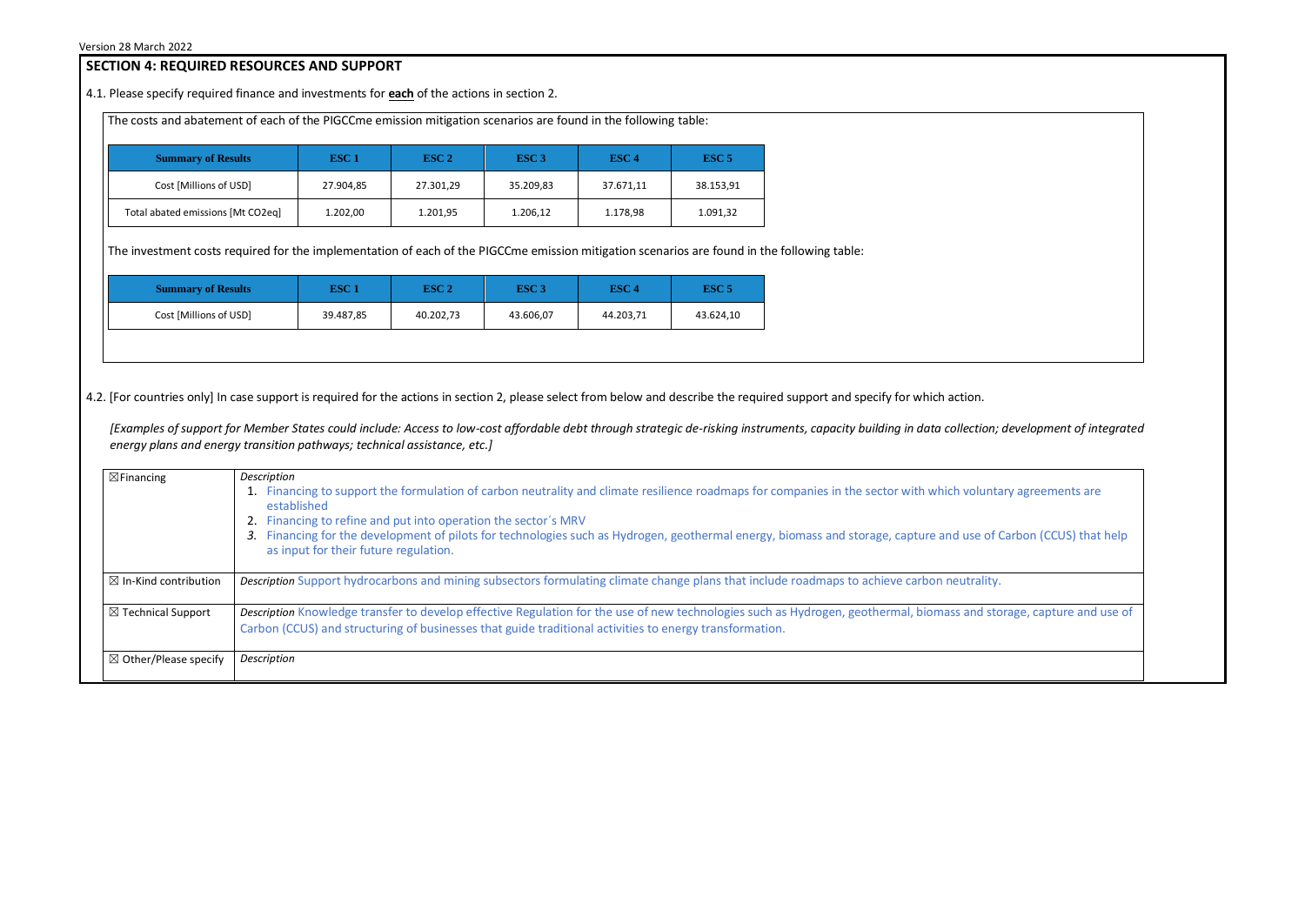# **SECTION 4: REQUIRED RESOURCES AND SUPPORT**

4.1. Please specify required finance and investments for **each** of the actions in section 2.

The costs and abatement of each of the PIGCCme emission mitigation scenarios are found in the following table:

| <b>Summary of Results</b>         | ESC <sub>1</sub> | ESC <sub>2</sub> | ESC <sub>3</sub> | ESC <sub>4</sub> | ESC <sub>5</sub> |
|-----------------------------------|------------------|------------------|------------------|------------------|------------------|
| Cost [Millions of USD]            | 27.904,85        | 27.301,29        | 35.209,83        | 37.671,11        | 38.153,91        |
| Total abated emissions [Mt CO2eq] | 1.202,00         | 1.201,95         | 1.206,12         | 1.178,98         | 1.091,32         |

The investment costs required for the implementation of each of the PIGCCme emission mitigation scenarios are found in the following table:

| <b>Summary of Results</b> | ESC 1     | ESC <sub>2</sub> | ESC <sub>3</sub> | ESC 4     | ESC 5     |
|---------------------------|-----------|------------------|------------------|-----------|-----------|
| Cost [Millions of USD]    | 39.487,85 | 40.202,73        | 43.606,07        | 44.203,71 | 43.624,10 |

4.2. [For countries only] In case support is required for the actions in section 2, please select from below and describe the required support and specify for which action.

*[Examples of support for Member States could include: Access to low-cost affordable debt through strategic de-risking instruments, capacity building in data collection; development of integrated energy plans and energy transition pathways; technical assistance, etc.]*



| $\boxtimes$ Financing            | Description<br>1. Financing to support the formulation of carbon neutrality and climate resilience roadmaps for companies in the sector with which volunta<br>established<br>2. Financing to refine and put into operation the sector's MRV<br>Financing for the development of pilots for technologies such as Hydrogen, geothermal energy, biomass and storage, capture and use of (<br>3.<br>as input for their future regulation. |
|----------------------------------|---------------------------------------------------------------------------------------------------------------------------------------------------------------------------------------------------------------------------------------------------------------------------------------------------------------------------------------------------------------------------------------------------------------------------------------|
| $\boxtimes$ In-Kind contribution | Description Support hydrocarbons and mining subsectors formulating climate change plans that include roadmaps to achieve carbon neutrality.                                                                                                                                                                                                                                                                                           |
| $\boxtimes$ Technical Support    | Description Knowledge transfer to develop effective Regulation for the use of new technologies such as Hydrogen, geothermal, biomass and sto<br>Carbon (CCUS) and structuring of businesses that guide traditional activities to energy transformation.                                                                                                                                                                               |
| $\boxtimes$ Other/Please specify | Description                                                                                                                                                                                                                                                                                                                                                                                                                           |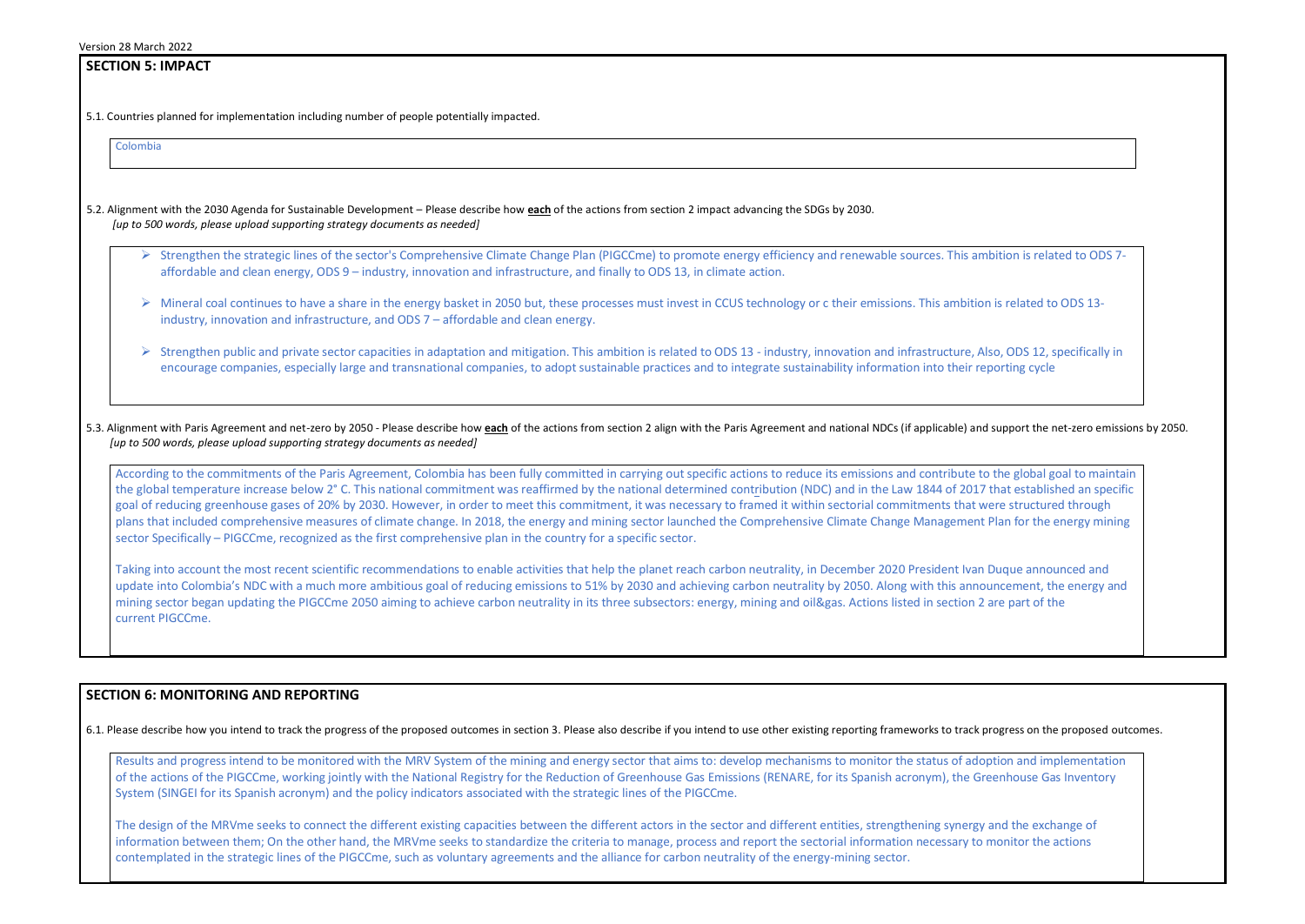# **SECTION 5: IMPACT**  5.1. Countries planned for implementation including number of people potentially impacted. Colombia 5.2. Alignment with the 2030 Agenda for Sustainable Development – Please describe how **each** of the actions from section 2 impact advancing the SDGs by 2030. *[up to 500 words, please upload supporting strategy documents as needed]*  ➢ Strengthen the strategic lines of the sector's Comprehensive Climate Change Plan (PIGCCme) to promote energy efficiency and renewable sources. This ambition is related to ODS 7 affordable and clean energy, ODS 9 – industry, innovation and infrastructure, and finally to ODS 13, in climate action. ➢ Mineral coal continues to have a share in the energy basket in 2050 but, these processes must invest in CCUS technology or c their emissions. This ambition is related to ODS 13 industry, innovation and infrastructure, and ODS 7 – affordable and clean energy. ➢ Strengthen public and private sector capacities in adaptation and mitigation. This ambition is related to ODS 13 - industry, innovation and infrastructure, Also, ODS 12, specifically in encourage companies, especially large and transnational companies, to adopt sustainable practices and to integrate sustainability information into their reporting cycle 5.3. Alignment with Paris Agreement and net-zero by 2050 - Please describe how each of the actions from section 2 align with the Paris Agreement and national NDCs (if applicable) and support the net-zero emissions by 2050. *[up to 500 words, please upload supporting strategy documents as needed]*

According to the commitments of the Paris Agreement, Colombia has been fully committed in carrying out specific actions to reduce its emissions and contribute to the global goal to maintain the global temperature increase below 2° C. This national commitment was reaffirmed by the national determined contribution (NDC) and in the Law 1844 of 2017 that established an specific goal of reducing greenhouse gases of 20% by 2030. However, in order to meet this commitment, it was necessary to framed it within sectorial commitments that were structured through plans that included comprehensive measures of climate change. In 2018, the energy and mining sector launched the Comprehensive Climate Change Management Plan for the energy mining sector Specifically – PIGCCme, recognized as the first comprehensive plan in the country for a specific sector.

Results and progress intend to be monitored with the MRV System of the mining and energy sector that aims to: develop mechanisms to monitor the status of ado of the actions of the PIGCCme, working jointly with the National Registry for the Reduction of Greenhouse Gas Emissions (RENARE, for its Spanish acronym), the Gre System (SINGEI for its Spanish acronym) and the policy indicators associated with the strategic lines of the PIGCCme.

The design of the MRVme seeks to connect the different existing capacities between the different actors in the sector and different entities, strengthening synergy information between them; On the other hand, the MRVme seeks to standardize the criteria to manage, process and report the sectorial information necessary to contemplated in the strategic lines of the PIGCCme, such as voluntary agreements and the alliance for carbon neutrality of the energy-mining sector.



| progress on the proposed outcomes.                 |  |
|----------------------------------------------------|--|
| ption and implementation<br>eenhouse Gas Inventory |  |
| and the exchange of<br>monitor the actions         |  |
|                                                    |  |

Taking into account the most recent scientific recommendations to enable activities that help the planet reach carbon neutrality, in December 2020 President Ivan Duque announced and update into Colombia's NDC with a much more ambitious goal of reducing emissions to 51% by 2030 and achieving carbon neutrality by 2050. Along with this announcement, the energy and mining sector began updating the PIGCCme 2050 aiming to achieve carbon neutrality in its three subsectors: energy, mining and oil&gas. Actions listed in section 2 are part of the current PIGCCme.

# **SECTION 6: MONITORING AND REPORTING**

6.1. Please describe how you intend to track the progress of the proposed outcomes in section 3. Please also describe if you intend to use other existing reporting frameworks to track p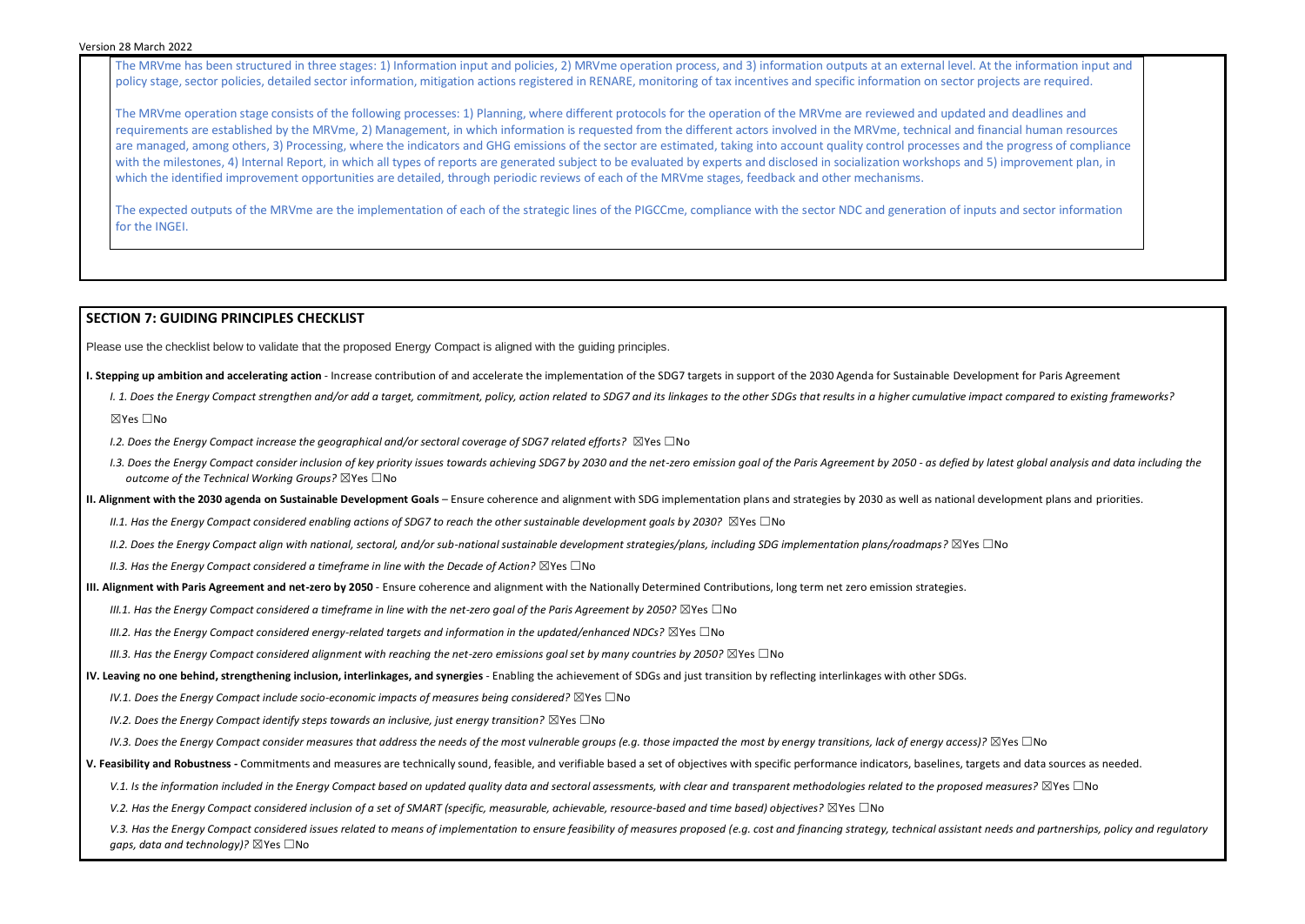#### Version 28 March 2022

The MRVme has been structured in three stages: 1) Information input and policies, 2) MRVme operation process, and 3) information outputs at an external level. At the information input and policy stage, sector policies, detailed sector information, mitigation actions registered in RENARE, monitoring of tax incentives and specific information on sector projects are required.

The MRVme operation stage consists of the following processes: 1) Planning, where different protocols for the operation of the MRVme are reviewed and updated and deadlines and requirements are established by the MRVme, 2) Management, in which information is requested from the different actors involved in the MRVme, technical and financial human resources are managed, among others, 3) Processing, where the indicators and GHG emissions of the sector are estimated, taking into account quality control processes and the progress of compliance with the milestones, 4) Internal Report, in which all types of reports are generated subject to be evaluated by experts and disclosed in socialization workshops and 5) improvement plan, in which the identified improvement opportunities are detailed, through periodic reviews of each of the MRVme stages, feedback and other mechanisms.

The expected outputs of the MRVme are the implementation of each of the strategic lines of the PIGCCme, compliance with the sector NDC and generation of inputs and sector information for the INGEI.

### **SECTION 7: GUIDING PRINCIPLES CHECKLIST**

Please use the checklist below to validate that the proposed Energy Compact is aligned with the guiding principles.

- **I. Stepping up ambition and accelerating action** Increase contribution of and accelerate the implementation of the SDG7 targets in support of the 2030 Agenda for Sustainable Development for Paris Agreement
	- I. 1. Does the Energy Compact strengthen and/or add a target, commitment, policy, action related to SDG7 and its linkages to the other SDGs that results in a higher cumulative impact compared to existing frameworks? ☒Yes ☐No
	- *I.2. Does the Energy Compact increase the geographical and/or sectoral coverage of SDG7 related efforts?* ⊠Yes □No
	- 1.3. Does the Energy Compact consider inclusion of key priority issues towards achieving SDG7 by 2030 and the net-zero emission goal of the Paris Agreement by 2050 as defied by latest global analysis and data including t *outcome of the Technical Working Groups?* ☒Yes ☐No
- **II. Alignment with the 2030 agenda on Sustainable Development Goals** Ensure coherence and alignment with SDG implementation plans and strategies by 2030 as well as national development plans and priorities.
	- *II.1. Has the Energy Compact considered enabling actions of SDG7 to reach the other sustainable development goals by 2030?* ⊠Yes □No
	- *II.2. Does the Energy Compact align with national, sectoral, and/or sub-national sustainable development strategies/plans, including SDG implementation plans/roadmaps?* ☒Yes ☐No
	- *II.3. Has the Energy Compact considered a timeframe in line with the Decade of Action?* ⊠Yes □No
- **III. Alignment with Paris Agreement and net-zero by 2050** Ensure coherence and alignment with the Nationally Determined Contributions, long term net zero emission strategies.
	- *III.1. Has the Energy Compact considered a timeframe in line with the net-zero goal of the Paris Agreement by 2050?* ⊠Yes □No
	- *III.2. Has the Energy Compact considered energy-related targets and information in the updated/enhanced NDCs?* ⊠Yes □No
	- *III.3. Has the Energy Compact considered alignment with reaching the net-zero emissions goal set by many countries by 2050?* ⊠Yes □No
- **IV. Leaving no one behind, strengthening inclusion, interlinkages, and synergies** Enabling the achievement of SDGs and just transition by reflecting interlinkages with other SDGs.
	- *IV.1. Does the Energy Compact include socio-economic impacts of measures being considered?* ⊠Yes □No
	- *IV.2. Does the Energy Compact identify steps towards an inclusive, just energy transition?* ⊠Yes □No
	- *IV.3. Does the Energy Compact consider measures that address the needs of the most vulnerable groups (e.g. those impacted the most by energy transitions, lack of energy access)?* ⊠Yes □No
- **V. Feasibility and Robustness -** Commitments and measures are technically sound, feasible, and verifiable based a set of objectives with specific performance indicators, baselines, targets and data sources as needed.
	- V.1. Is the information included in the Energy Compact based on updated quality data and sectoral assessments, with clear and *transparent methodologies related to the proposed measures?* ⊠Yes □No
	- *V.2. Has the Energy Compact considered inclusion of a set of SMART (specific, measurable, achievable, resource-based and time based) objectives?* ⊠Yes □No

V.3. Has the Energy Compact considered issues related to means of implementation to ensure feasibility of measures proposed (e.g. cost and financing strategy, technical assistant needs and partnerships, policy and regulato *gaps, data and technology)?* ⊠Yes □No